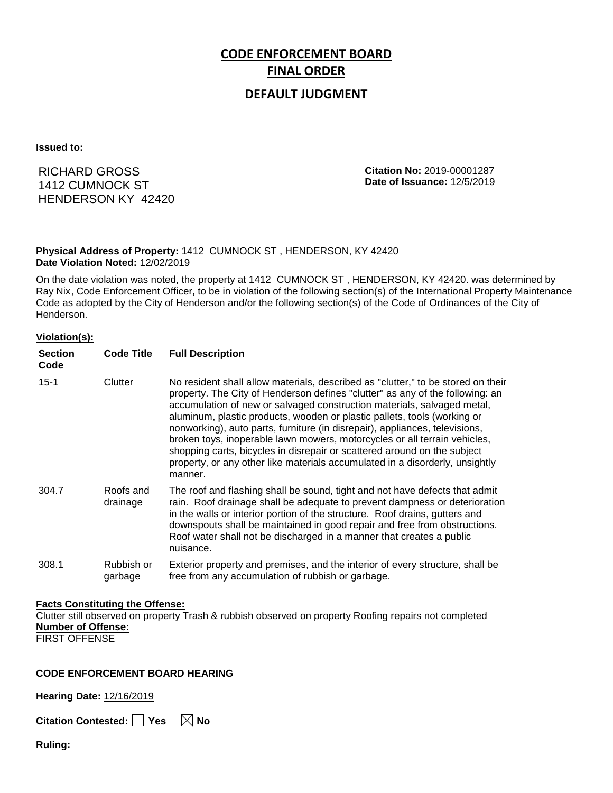# **CODE ENFORCEMENT BOARD FINAL ORDER**

## **DEFAULT JUDGMENT**

**Issued to:**

RICHARD GROSS 1412 CUMNOCK ST HENDERSON KY 42420 **Citation No:** 2019-00001287 **Date of Issuance:** 12/5/2019

#### **Physical Address of Property:** 1412 CUMNOCK ST , HENDERSON, KY 42420 **Date Violation Noted:** 12/02/2019

On the date violation was noted, the property at 1412 CUMNOCK ST , HENDERSON, KY 42420. was determined by Ray Nix, Code Enforcement Officer, to be in violation of the following section(s) of the International Property Maintenance Code as adopted by the City of Henderson and/or the following section(s) of the Code of Ordinances of the City of Henderson.

#### **Violation(s):**

| <b>Section</b><br>Code | <b>Code Title</b>     | <b>Full Description</b>                                                                                                                                                                                                                                                                                                                                                                                                                                                                                                                                                                                                                                     |
|------------------------|-----------------------|-------------------------------------------------------------------------------------------------------------------------------------------------------------------------------------------------------------------------------------------------------------------------------------------------------------------------------------------------------------------------------------------------------------------------------------------------------------------------------------------------------------------------------------------------------------------------------------------------------------------------------------------------------------|
| $15 - 1$               | Clutter               | No resident shall allow materials, described as "clutter," to be stored on their<br>property. The City of Henderson defines "clutter" as any of the following: an<br>accumulation of new or salvaged construction materials, salvaged metal,<br>aluminum, plastic products, wooden or plastic pallets, tools (working or<br>nonworking), auto parts, furniture (in disrepair), appliances, televisions,<br>broken toys, inoperable lawn mowers, motorcycles or all terrain vehicles,<br>shopping carts, bicycles in disrepair or scattered around on the subject<br>property, or any other like materials accumulated in a disorderly, unsightly<br>manner. |
| 304.7                  | Roofs and<br>drainage | The roof and flashing shall be sound, tight and not have defects that admit<br>rain. Roof drainage shall be adequate to prevent dampness or deterioration<br>in the walls or interior portion of the structure. Roof drains, gutters and<br>downspouts shall be maintained in good repair and free from obstructions.<br>Roof water shall not be discharged in a manner that creates a public<br>nuisance.                                                                                                                                                                                                                                                  |
| 308.1                  | Rubbish or<br>garbage | Exterior property and premises, and the interior of every structure, shall be<br>free from any accumulation of rubbish or garbage.                                                                                                                                                                                                                                                                                                                                                                                                                                                                                                                          |

#### **Facts Constituting the Offense:**

Clutter still observed on property Trash & rubbish observed on property Roofing repairs not completed **Number of Offense:**

FIRST OFFENSE

### **CODE ENFORCEMENT BOARD HEARING**

**Hearing Date:** 12/16/2019

**Citation Contested:** ■ Yes  $\ \ \mathbb{\times}$  No

**Ruling:**